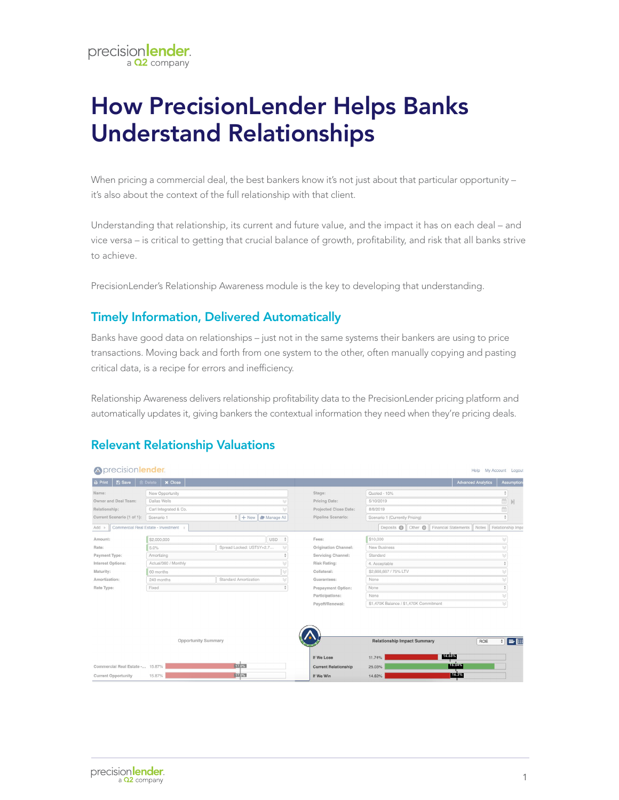# How PrecisionLender Helps Banks Understand Relationships

When pricing a commercial deal, the best bankers know it's not just about that particular opportunity it's also about the context of the full relationship with that client.

Understanding that relationship, its current and future value, and the impact it has on each deal – and vice versa – is critical to getting that crucial balance of growth, profitability, and risk that all banks strive to achieve.

PrecisionLender's Relationship Awareness module is the key to developing that understanding.

## Timely Information, Delivered Automatically

Banks have good data on relationships – just not in the same systems their bankers are using to price transactions. Moving back and forth from one system to the other, often manually copying and pasting critical data, is a recipe for errors and inefficiency.

Relationship Awareness delivers relationship profitability data to the PrecisionLender pricing platform and automatically updates it, giving bankers the contextual information they need when they're pricing deals.

# Relevant Relationship Valuations

| <b>Aprecisionlender.</b><br>Help My Account Logout                                                                                                               |                                   |                                              |  |                             |                                        |                           |                          |  |  |  |  |  |
|------------------------------------------------------------------------------------------------------------------------------------------------------------------|-----------------------------------|----------------------------------------------|--|-----------------------------|----------------------------------------|---------------------------|--------------------------|--|--|--|--|--|
| <b>图 Save</b><br>$\ominus$ Print                                                                                                                                 | $\times$ Close<br><b>简 Delete</b> |                                              |  |                             |                                        | <b>Advanced Analytics</b> | <b>Assumptions</b>       |  |  |  |  |  |
| Name:                                                                                                                                                            | New Opportunity                   |                                              |  | Stage:                      | Quoted - 10%                           |                           |                          |  |  |  |  |  |
| Owner and Deal Team:                                                                                                                                             | Dallas Wells                      |                                              |  | Pricing Date:               | 5/10/2019                              | 龠<br>$\mathbb N$          |                          |  |  |  |  |  |
| Relationship:                                                                                                                                                    | Carl Integrated & Co.             |                                              |  | Projected Close Date:       | 飴<br>8/8/2019                          |                           |                          |  |  |  |  |  |
| Current Scenario (1 of 1):                                                                                                                                       | Scenario 1                        | $\frac{1}{2}$ + New $\frac{1}{2}$ Manage All |  | Pipeline Scenario:          | Scenario 1 (Currently Pricing)         |                           | $\Delta$                 |  |  |  |  |  |
| Other <sup>1</sup> Financial Statements<br>Commercial Real Estate - Investment<br>Deposits <b>O</b><br>Relationship Impa<br>Notes<br>$Add$ $\blacktriangleright$ |                                   |                                              |  |                             |                                        |                           |                          |  |  |  |  |  |
| Amount:                                                                                                                                                          | \$2,000,000                       | <b>USD</b>                                   |  | Fees:                       | \$10,000                               |                           |                          |  |  |  |  |  |
| Rate:                                                                                                                                                            | 5.0%                              | Spread Locked: UST5Y+2.7                     |  | Origination Channel:        | New Business                           |                           |                          |  |  |  |  |  |
| Payment Type:                                                                                                                                                    | Amortizing                        |                                              |  | Servicing Channel:          | Standard                               |                           |                          |  |  |  |  |  |
| Interest Options:                                                                                                                                                | Actual/360 / Monthly              |                                              |  | Risk Rating:                | 4. Acceptable                          |                           |                          |  |  |  |  |  |
| Maturity:                                                                                                                                                        | 60 months                         |                                              |  | Collateral:                 | \$2,666,667 / 75% LTV                  |                           |                          |  |  |  |  |  |
| Amortization:                                                                                                                                                    | 240 months                        | Standard Amortization                        |  | Guarantees:                 | None                                   |                           |                          |  |  |  |  |  |
| Rate Type:                                                                                                                                                       | Fixed                             |                                              |  | Prepayment Option:          | None                                   |                           |                          |  |  |  |  |  |
|                                                                                                                                                                  |                                   |                                              |  | Participations:             | None                                   |                           |                          |  |  |  |  |  |
|                                                                                                                                                                  |                                   |                                              |  | Payoff/Renewal:             | \$1,470K Balance / \$1,470K Commitment |                           |                          |  |  |  |  |  |
|                                                                                                                                                                  |                                   |                                              |  |                             |                                        |                           |                          |  |  |  |  |  |
|                                                                                                                                                                  |                                   |                                              |  |                             |                                        |                           |                          |  |  |  |  |  |
| <b>Opportunity Summary</b>                                                                                                                                       |                                   |                                              |  |                             | <b>Relationship Impact Summary</b>     | ROE                       | $=$ $\boxplus$<br>$\div$ |  |  |  |  |  |
|                                                                                                                                                                  |                                   |                                              |  | If We Lose                  | 14.68%<br>11.74%                       |                           |                          |  |  |  |  |  |
| 17.0%<br>Commercial Real Estate - 15.87%                                                                                                                         |                                   |                                              |  | <b>Current Relationship</b> | 16.04%<br>25.03%                       |                           |                          |  |  |  |  |  |
| 17.0%<br><b>Current Opportunity</b><br>15.87%                                                                                                                    |                                   |                                              |  | If We Win                   | 16.3%<br>14.62%                        |                           |                          |  |  |  |  |  |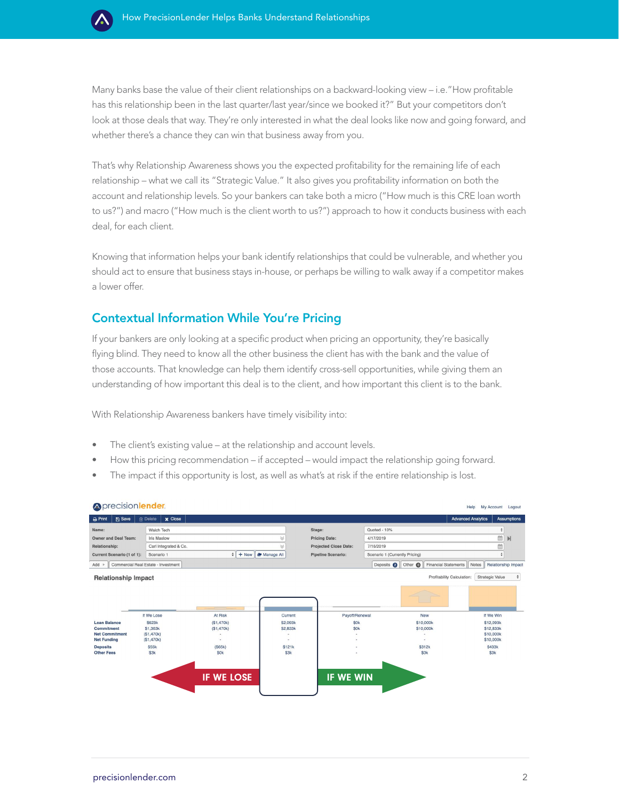

Many banks base the value of their client relationships on a backward-looking view – i.e."How profitable has this relationship been in the last quarter/last year/since we booked it?" But your competitors don't look at those deals that way. They're only interested in what the deal looks like now and going forward, and whether there's a chance they can win that business away from you.

That's why Relationship Awareness shows you the expected profitability for the remaining life of each relationship – what we call its "Strategic Value." It also gives you profitability information on both the account and relationship levels. So your bankers can take both a micro ("How much is this CRE loan worth to us?") and macro ("How much is the client worth to us?") approach to how it conducts business with each deal, for each client.

Knowing that information helps your bank identify relationships that could be vulnerable, and whether you should act to ensure that business stays in-house, or perhaps be willing to walk away if a competitor makes a lower offer.

### Contextual Information While You're Pricing

If your bankers are only looking at a specific product when pricing an opportunity, they're basically flying blind. They need to know all the other business the client has with the bank and the value of those accounts. That knowledge can help them identify cross-sell opportunities, while giving them an understanding of how important this deal is to the client, and how important this client is to the bank.

With Relationship Awareness bankers have timely visibility into:

- The client's existing value at the relationship and account levels.
- How this pricing recommendation if accepted would impact the relationship going forward.
- The impact if this opportunity is lost, as well as what's at risk if the entire relationship is lost.

| Oprecisionlender.<br>My Account<br>Help<br>Logout                           |                                     |                          |                          |                              |                                         |                        |                           |                     |  |  |  |  |  |
|-----------------------------------------------------------------------------|-------------------------------------|--------------------------|--------------------------|------------------------------|-----------------------------------------|------------------------|---------------------------|---------------------|--|--|--|--|--|
| <b>图 Save</b><br><b>A</b> Print                                             | <b>x</b> Close<br>m Delete          |                          |                          |                              |                                         |                        | <b>Advanced Analytics</b> | <b>Assumptions</b>  |  |  |  |  |  |
| Name:                                                                       | Walch Tech                          |                          |                          | Stage:                       | Quoted - 10%                            |                        |                           | ÷                   |  |  |  |  |  |
| <b>Owner and Deal Team:</b>                                                 | <b>Iris Maslow</b>                  |                          |                          | <b>Pricing Date:</b>         | 4/17/2019                               |                        |                           | 曲<br>М              |  |  |  |  |  |
| Relationship:                                                               | Carl Integrated & Co.               |                          |                          | <b>Projected Close Date:</b> | 7/16/2019                               |                        |                           | 曲                   |  |  |  |  |  |
| Current Scenario (1 of 1):                                                  | Scenario 1                          | ÷                        | + New   Manage All       | <b>Pipeline Scenario:</b>    | Scenario 1 (Currently Pricing)          |                        |                           | ÷                   |  |  |  |  |  |
| $Add$ $\rightarrow$                                                         | Commercial Real Estate - Investment |                          |                          |                              | Deposits @ Other @ Financial Statements |                        | Notes                     | Relationship Impact |  |  |  |  |  |
| Profitability Calculation:<br>Strategic Value<br><b>Relationship Impact</b> |                                     |                          |                          |                              |                                         |                        |                           |                     |  |  |  |  |  |
|                                                                             |                                     |                          |                          |                              |                                         |                        |                           |                     |  |  |  |  |  |
|                                                                             | If We Lose                          | At Risk                  | Current                  | Payoff/Renewal               |                                         | <b>New</b>             | If We Win                 |                     |  |  |  |  |  |
| <b>Loan Balance</b><br>Commitment                                           | \$623k<br>\$1,363k                  | (S1, 470k)<br>(S1, 470k) | \$2,093k<br>\$2,833k     | <b>SOK</b><br><b>SOK</b>     |                                         | \$10,000k<br>\$10,000k | \$12,093k<br>\$12,833k    |                     |  |  |  |  |  |
| <b>Net Commitment</b>                                                       | (S1, 470k)                          | ٠                        |                          |                              |                                         |                        | \$10,000k                 |                     |  |  |  |  |  |
| <b>Net Funding</b>                                                          | (S1, 470k)                          | $\overline{\phantom{a}}$ | $\overline{\phantom{a}}$ |                              |                                         | ä,                     | \$10,000k                 |                     |  |  |  |  |  |
| <b>Deposits</b>                                                             | \$55k                               | (S65k)                   | \$121k                   |                              |                                         | \$312k                 | \$433k                    |                     |  |  |  |  |  |
| <b>Other Fees</b>                                                           | \$3k                                | \$0k                     | \$3k                     |                              |                                         | \$0k                   | \$3k                      |                     |  |  |  |  |  |
|                                                                             |                                     |                          |                          |                              |                                         |                        |                           |                     |  |  |  |  |  |
|                                                                             |                                     | <b>IF WE LOSE</b>        |                          | IF WE WIN                    |                                         |                        |                           |                     |  |  |  |  |  |
|                                                                             |                                     |                          |                          |                              |                                         |                        |                           |                     |  |  |  |  |  |